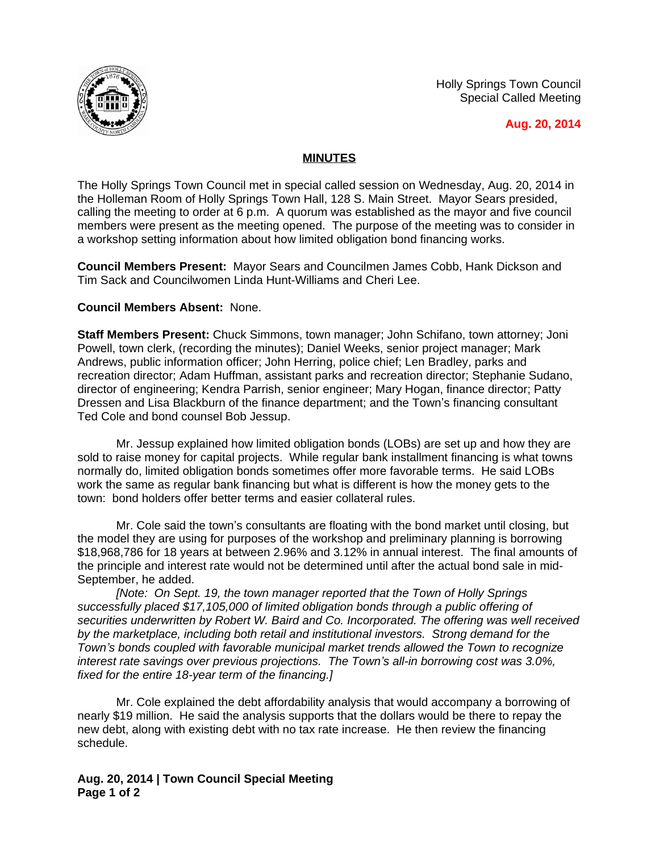Holly Springs Town Council Special Called Meeting



**Aug. 20, 2014**

## **MINUTES**

The Holly Springs Town Council met in special called session on Wednesday, Aug. 20, 2014 in the Holleman Room of Holly Springs Town Hall, 128 S. Main Street. Mayor Sears presided, calling the meeting to order at 6 p.m. A quorum was established as the mayor and five council members were present as the meeting opened. The purpose of the meeting was to consider in a workshop setting information about how limited obligation bond financing works.

**Council Members Present:** Mayor Sears and Councilmen James Cobb, Hank Dickson and Tim Sack and Councilwomen Linda Hunt-Williams and Cheri Lee.

## **Council Members Absent:** None.

**Staff Members Present:** Chuck Simmons, town manager; John Schifano, town attorney; Joni Powell, town clerk, (recording the minutes); Daniel Weeks, senior project manager; Mark Andrews, public information officer; John Herring, police chief; Len Bradley, parks and recreation director; Adam Huffman, assistant parks and recreation director; Stephanie Sudano, director of engineering; Kendra Parrish, senior engineer; Mary Hogan, finance director; Patty Dressen and Lisa Blackburn of the finance department; and the Town's financing consultant Ted Cole and bond counsel Bob Jessup.

Mr. Jessup explained how limited obligation bonds (LOBs) are set up and how they are sold to raise money for capital projects. While regular bank installment financing is what towns normally do, limited obligation bonds sometimes offer more favorable terms. He said LOBs work the same as regular bank financing but what is different is how the money gets to the town: bond holders offer better terms and easier collateral rules.

Mr. Cole said the town's consultants are floating with the bond market until closing, but the model they are using for purposes of the workshop and preliminary planning is borrowing \$18,968,786 for 18 years at between 2.96% and 3.12% in annual interest. The final amounts of the principle and interest rate would not be determined until after the actual bond sale in mid-September, he added.

*[Note: On Sept. 19, the town manager reported that the Town of Holly Springs successfully placed \$17,105,000 of limited obligation bonds through a public offering of securities underwritten by Robert W. Baird and Co. Incorporated. The offering was well received by the marketplace, including both retail and institutional investors. Strong demand for the Town's bonds coupled with favorable municipal market trends allowed the Town to recognize interest rate savings over previous projections. The Town's all-in borrowing cost was 3.0%, fixed for the entire 18-year term of the financing.]*

Mr. Cole explained the debt affordability analysis that would accompany a borrowing of nearly \$19 million. He said the analysis supports that the dollars would be there to repay the new debt, along with existing debt with no tax rate increase. He then review the financing schedule.